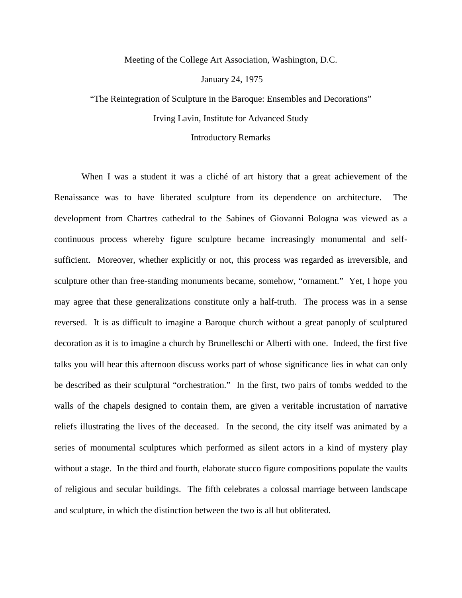Meeting of the College Art Association, Washington, D.C.

January 24, 1975

"The Reintegration of Sculpture in the Baroque: Ensembles and Decorations" Irving Lavin, Institute for Advanced Study

## Introductory Remarks

When I was a student it was a cliché of art history that a great achievement of the Renaissance was to have liberated sculpture from its dependence on architecture. The development from Chartres cathedral to the Sabines of Giovanni Bologna was viewed as a continuous process whereby figure sculpture became increasingly monumental and selfsufficient. Moreover, whether explicitly or not, this process was regarded as irreversible, and sculpture other than free-standing monuments became, somehow, "ornament." Yet, I hope you may agree that these generalizations constitute only a half-truth. The process was in a sense reversed. It is as difficult to imagine a Baroque church without a great panoply of sculptured decoration as it is to imagine a church by Brunelleschi or Alberti with one. Indeed, the first five talks you will hear this afternoon discuss works part of whose significance lies in what can only be described as their sculptural "orchestration." In the first, two pairs of tombs wedded to the walls of the chapels designed to contain them, are given a veritable incrustation of narrative reliefs illustrating the lives of the deceased. In the second, the city itself was animated by a series of monumental sculptures which performed as silent actors in a kind of mystery play without a stage. In the third and fourth, elaborate stucco figure compositions populate the vaults of religious and secular buildings. The fifth celebrates a colossal marriage between landscape and sculpture, in which the distinction between the two is all but obliterated.